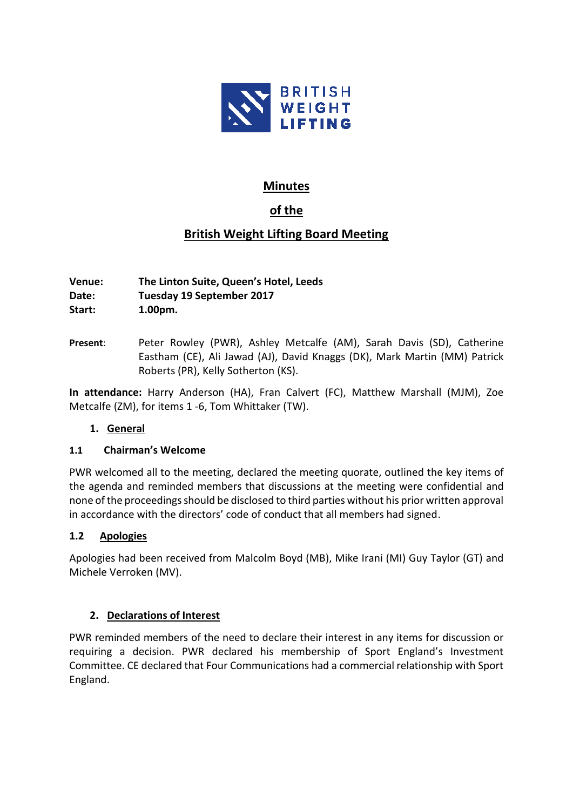

# **Minutes**

# **of the**

# **British Weight Lifting Board Meeting**

**Venue: The Linton Suite, Queen's Hotel, Leeds Date: Tuesday 19 September 2017 Start: 1.00pm.**

**Present**: Peter Rowley (PWR), Ashley Metcalfe (AM), Sarah Davis (SD), Catherine Eastham (CE), Ali Jawad (AJ), David Knaggs (DK), Mark Martin (MM) Patrick Roberts (PR), Kelly Sotherton (KS).

**In attendance:** Harry Anderson (HA), Fran Calvert (FC), Matthew Marshall (MJM), Zoe Metcalfe (ZM), for items 1 -6, Tom Whittaker (TW).

# **1. General**

## **1.1 Chairman's Welcome**

PWR welcomed all to the meeting, declared the meeting quorate, outlined the key items of the agenda and reminded members that discussions at the meeting were confidential and none of the proceedings should be disclosed to third parties without his prior written approval in accordance with the directors' code of conduct that all members had signed.

## **1.2 Apologies**

Apologies had been received from Malcolm Boyd (MB), Mike Irani (MI) Guy Taylor (GT) and Michele Verroken (MV).

# **2. Declarations of Interest**

PWR reminded members of the need to declare their interest in any items for discussion or requiring a decision. PWR declared his membership of Sport England's Investment Committee. CE declared that Four Communications had a commercial relationship with Sport England.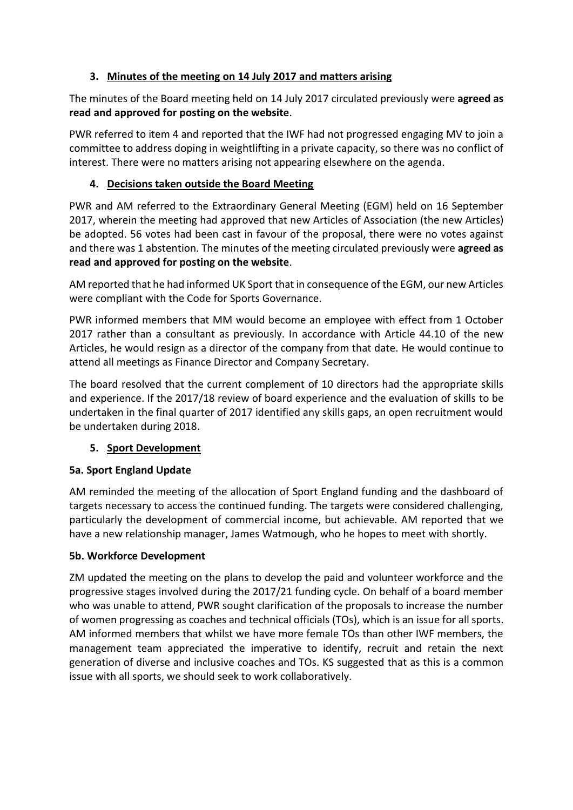# **3. Minutes of the meeting on 14 July 2017 and matters arising**

The minutes of the Board meeting held on 14 July 2017 circulated previously were **agreed as read and approved for posting on the website**.

PWR referred to item 4 and reported that the IWF had not progressed engaging MV to join a committee to address doping in weightlifting in a private capacity, so there was no conflict of interest. There were no matters arising not appearing elsewhere on the agenda.

# **4. Decisions taken outside the Board Meeting**

PWR and AM referred to the Extraordinary General Meeting (EGM) held on 16 September 2017, wherein the meeting had approved that new Articles of Association (the new Articles) be adopted. 56 votes had been cast in favour of the proposal, there were no votes against and there was 1 abstention. The minutes of the meeting circulated previously were **agreed as read and approved for posting on the website**.

AM reported that he had informed UK Sport that in consequence of the EGM, our new Articles were compliant with the Code for Sports Governance.

PWR informed members that MM would become an employee with effect from 1 October 2017 rather than a consultant as previously. In accordance with Article 44.10 of the new Articles, he would resign as a director of the company from that date. He would continue to attend all meetings as Finance Director and Company Secretary.

The board resolved that the current complement of 10 directors had the appropriate skills and experience. If the 2017/18 review of board experience and the evaluation of skills to be undertaken in the final quarter of 2017 identified any skills gaps, an open recruitment would be undertaken during 2018.

# **5. Sport Development**

# **5a. Sport England Update**

AM reminded the meeting of the allocation of Sport England funding and the dashboard of targets necessary to access the continued funding. The targets were considered challenging, particularly the development of commercial income, but achievable. AM reported that we have a new relationship manager, James Watmough, who he hopes to meet with shortly.

# **5b. Workforce Development**

ZM updated the meeting on the plans to develop the paid and volunteer workforce and the progressive stages involved during the 2017/21 funding cycle. On behalf of a board member who was unable to attend, PWR sought clarification of the proposals to increase the number of women progressing as coaches and technical officials (TOs), which is an issue for all sports. AM informed members that whilst we have more female TOs than other IWF members, the management team appreciated the imperative to identify, recruit and retain the next generation of diverse and inclusive coaches and TOs. KS suggested that as this is a common issue with all sports, we should seek to work collaboratively.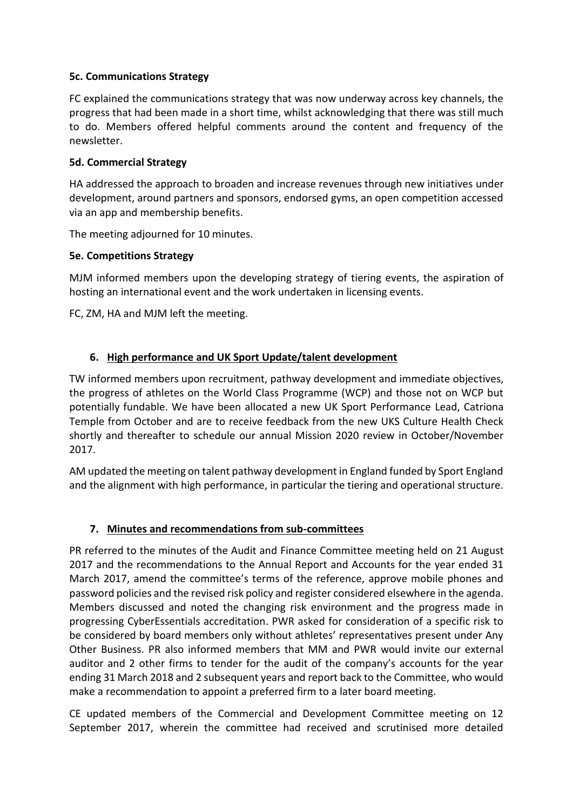## **5c. Communications Strategy**

FC explained the communications strategy that was now underway across key channels, the progress that had been made in a short time, whilst acknowledging that there was still much to do. Members offered helpful comments around the content and frequency of the newsletter.

#### **5d. Commercial Strategy**

HA addressed the approach to broaden and increase revenues through new initiatives under development, around partners and sponsors, endorsed gyms, an open competition accessed via an app and membership benefits.

The meeting adjourned for 10 minutes.

#### **5e. Competitions Strategy**

MJM informed members upon the developing strategy of tiering events, the aspiration of hosting an international event and the work undertaken in licensing events.

FC, ZM, HA and MJM left the meeting.

## **6. High performance and UK Sport Update/talent development**

TW informed members upon recruitment, pathway development and immediate objectives, the progress of athletes on the World Class Programme (WCP) and those not on WCP but potentially fundable. We have been allocated a new UK Sport Performance Lead, Catriona Temple from October and are to receive feedback from the new UKS Culture Health Check shortly and thereafter to schedule our annual Mission 2020 review in October/November 2017.

AM updated the meeting on talent pathway development in England funded by Sport England and the alignment with high performance, in particular the tiering and operational structure.

## **7. Minutes and recommendations from sub-committees**

PR referred to the minutes of the Audit and Finance Committee meeting held on 21 August 2017 and the recommendations to the Annual Report and Accounts for the year ended 31 March 2017, amend the committee's terms of the reference, approve mobile phones and password policies and the revised risk policy and register considered elsewhere in the agenda. Members discussed and noted the changing risk environment and the progress made in progressing CyberEssentials accreditation. PWR asked for consideration of a specific risk to be considered by board members only without athletes' representatives present under Any Other Business. PR also informed members that MM and PWR would invite our external auditor and 2 other firms to tender for the audit of the company's accounts for the year ending 31 March 2018 and 2 subsequent years and report back to the Committee, who would make a recommendation to appoint a preferred firm to a later board meeting.

CE updated members of the Commercial and Development Committee meeting on 12 September 2017, wherein the committee had received and scrutinised more detailed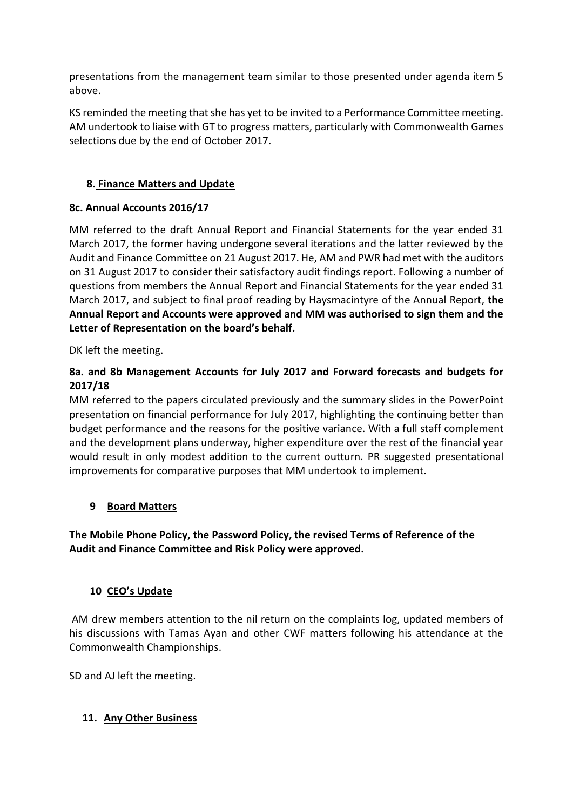presentations from the management team similar to those presented under agenda item 5 above.

KS reminded the meeting that she has yet to be invited to a Performance Committee meeting. AM undertook to liaise with GT to progress matters, particularly with Commonwealth Games selections due by the end of October 2017.

# **8. Finance Matters and Update**

## **8c. Annual Accounts 2016/17**

MM referred to the draft Annual Report and Financial Statements for the year ended 31 March 2017, the former having undergone several iterations and the latter reviewed by the Audit and Finance Committee on 21 August 2017. He, AM and PWR had met with the auditors on 31 August 2017 to consider their satisfactory audit findings report. Following a number of questions from members the Annual Report and Financial Statements for the year ended 31 March 2017, and subject to final proof reading by Haysmacintyre of the Annual Report, **the Annual Report and Accounts were approved and MM was authorised to sign them and the Letter of Representation on the board's behalf.** 

DK left the meeting.

# **8a. and 8b Management Accounts for July 2017 and Forward forecasts and budgets for 2017/18**

MM referred to the papers circulated previously and the summary slides in the PowerPoint presentation on financial performance for July 2017, highlighting the continuing better than budget performance and the reasons for the positive variance. With a full staff complement and the development plans underway, higher expenditure over the rest of the financial year would result in only modest addition to the current outturn. PR suggested presentational improvements for comparative purposes that MM undertook to implement.

## **9 Board Matters**

# **The Mobile Phone Policy, the Password Policy, the revised Terms of Reference of the Audit and Finance Committee and Risk Policy were approved.**

## **10 CEO's Update**

AM drew members attention to the nil return on the complaints log, updated members of his discussions with Tamas Ayan and other CWF matters following his attendance at the Commonwealth Championships.

SD and AJ left the meeting.

## **11. Any Other Business**